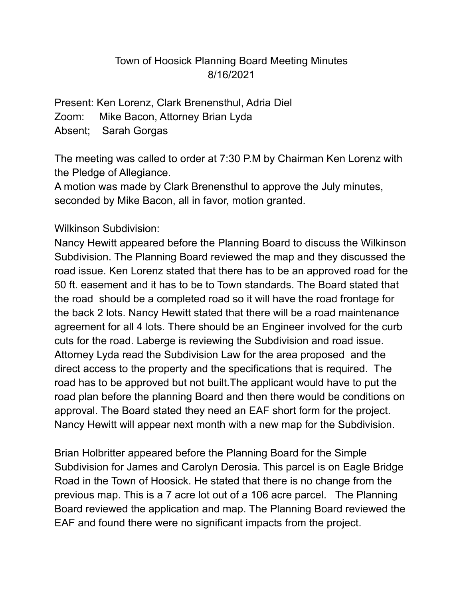## Town of Hoosick Planning Board Meeting Minutes 8/16/2021

Present: Ken Lorenz, Clark Brenensthul, Adria Diel Zoom: Mike Bacon, Attorney Brian Lyda Absent; Sarah Gorgas

The meeting was called to order at 7:30 P.M by Chairman Ken Lorenz with the Pledge of Allegiance.

A motion was made by Clark Brenensthul to approve the July minutes, seconded by Mike Bacon, all in favor, motion granted.

Wilkinson Subdivision:

Nancy Hewitt appeared before the Planning Board to discuss the Wilkinson Subdivision. The Planning Board reviewed the map and they discussed the road issue. Ken Lorenz stated that there has to be an approved road for the 50 ft. easement and it has to be to Town standards. The Board stated that the road should be a completed road so it will have the road frontage for the back 2 lots. Nancy Hewitt stated that there will be a road maintenance agreement for all 4 lots. There should be an Engineer involved for the curb cuts for the road. Laberge is reviewing the Subdivision and road issue. Attorney Lyda read the Subdivision Law for the area proposed and the direct access to the property and the specifications that is required. The road has to be approved but not built.The applicant would have to put the road plan before the planning Board and then there would be conditions on approval. The Board stated they need an EAF short form for the project. Nancy Hewitt will appear next month with a new map for the Subdivision.

Brian Holbritter appeared before the Planning Board for the Simple Subdivision for James and Carolyn Derosia. This parcel is on Eagle Bridge Road in the Town of Hoosick. He stated that there is no change from the previous map. This is a 7 acre lot out of a 106 acre parcel. The Planning Board reviewed the application and map. The Planning Board reviewed the EAF and found there were no significant impacts from the project.